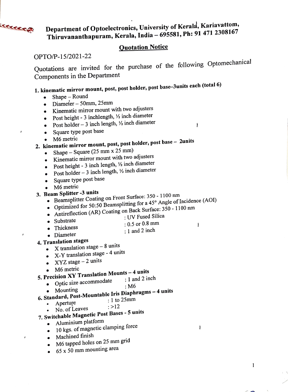Department of Optoelectronics, University of Kerala, Kariavattom, Thiruvananthapuram, Kerala, India - 695581, Ph: 91 471 2308167

### Quotation Notice

OPTO/P-15/2021-22

**ETTERETA** 

 $\pmb{\cdot}$ 

Quotations are invited for the purchase of the following Optomechanical Components in the Department

 $\mathbf{r}$ 

 $\mathbf{I}$ 

Ť

# 1. kinematic mirror mount, post, post holder, post base-3units each (total 6)

- Shape Round  $\bullet$ 
	- $\bullet$  Diameter 50mm, 25mm
	- Kinematic mirror mount with two adjusters
	- Post height 3 inchlength,  $\frac{1}{2}$  inch diameter
	- Post holder  $-3$  inch length,  $\frac{1}{2}$  inch diameter
	- Square type post base  $\bullet$
	- M6 metric
- 2. kinematic mirror mount, post, post holder, post base 2units
	- Shape  $-$  Square (25 mm x 25 mm)
		- Kinematic mirror mount with two adjusters
		- Post height 3 inch length,  $\frac{1}{2}$  inch diameter
		- Post holder  $-3$  inch length,  $\frac{1}{2}$  inch diameter
		- Square type post base
		- M6 metric
- 3. Beam Splitter -3 units
	- Beamsplitter Coating on Front Surface: 350 1100 nm
	- Optimized for 50:50 Beamsplitting for a 45° Angle of Incidence (AOI)
	- Optimized for 50.50 Beamspiring<br>Antireflection (AR) Coating on Back Surface: 350 1100 nm<br>UV Fused Silica
		-
		- Substrate :0.5 or 0.8 mm
	- Thickness .  $1$  and 2 inch .  $1$  and 2 inch .
	- Diameter
- 4. Translation stages
	- X translation stage  $-8$  units
	- X-Y translation stage 4 units
	- $XYZ$  stage  $-2$  units
	- M6 metric

## 5. Precision XY Translation Mounts - 4 units

- : 1 and 2 inch
	- Optic size accommodate : 1 an<br>• Mounting : 0
- Mounting<br>6. Standard, Post-Mountable Iris Diaphragms 4 units<br> $\frac{1}{10}$  1 to 25mm
- :I to 25mm
	- Aperture  $: >12$
- No. of Leaves **Solution CE ANGLO CONCOCO CONTRETTS**<br>7. Switchable Magnetic Post Bases - 5 units
	- Aluminium platform
		- 10 kgs. of magnetic clamping force
		- Machined finish
		- M6 tapped holes on 25 mm grid
		- 65 x 50 mm mounting area  $\bullet$